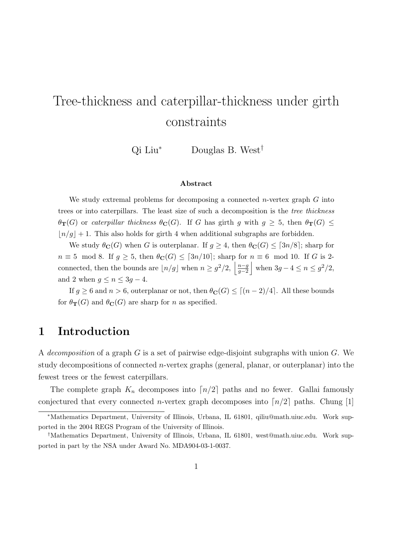# Tree-thickness and caterpillar-thickness under girth constraints

Qi Liu<sup>∗</sup> Douglas B. West†

#### Abstract

We study extremal problems for decomposing a connected *n*-vertex graph  $G$  into trees or into caterpillars. The least size of such a decomposition is the tree thickness  $\theta_{\bf T}(G)$  or caterpillar thickness  $\theta_{\bf C}(G)$ . If G has girth g with  $g \geq 5$ , then  $\theta_{\bf T}(G) \leq$  $\lfloor n/g \rfloor + 1$ . This also holds for girth 4 when additional subgraphs are forbidden.

We study  $\theta_{\mathbf{C}}(G)$  when G is outerplanar. If  $g \geq 4$ , then  $\theta_{\mathbf{C}}(G) \leq \lceil 3n/8 \rceil$ ; sharp for  $n \equiv 5 \mod 8$ . If  $g \geq 5$ , then  $\theta_C(G) \leq [3n/10]$ ; sharp for  $n \equiv 6 \mod 10$ . If G is 2connected, then the bounds are  $|n/g|$  when  $n \geq g^2/2$ ,  $\frac{|n-g|}{g-2}$  $\left\lfloor \frac{n-g}{g-2} \right\rfloor$  when  $3g-4 \leq n \leq g^2/2$ , and 2 when  $g \le n \le 3g - 4$ .

If  $g \geq 6$  and  $n > 6$ , outerplanar or not, then  $\theta_{\mathbf{C}}(G) \leq [(n-2)/4]$ . All these bounds for  $\theta_{\mathbf{T}}(G)$  and  $\theta_{\mathbf{C}}(G)$  are sharp for *n* as specified.

## 1 Introduction

A decomposition of a graph G is a set of pairwise edge-disjoint subgraphs with union  $G$ . We study decompositions of connected *n*-vertex graphs (general, planar, or outerplanar) into the fewest trees or the fewest caterpillars.

The complete graph  $K_n$  decomposes into  $\lceil n/2 \rceil$  paths and no fewer. Gallai famously conjectured that every connected *n*-vertex graph decomposes into  $\lceil n/2 \rceil$  paths. Chung [1]

<sup>∗</sup>Mathematics Department, University of Illinois, Urbana, IL 61801, qiliu@math.uiuc.edu. Work supported in the 2004 REGS Program of the University of Illinois.

<sup>†</sup>Mathematics Department, University of Illinois, Urbana, IL 61801, west@math.uiuc.edu. Work supported in part by the NSA under Award No. MDA904-03-1-0037.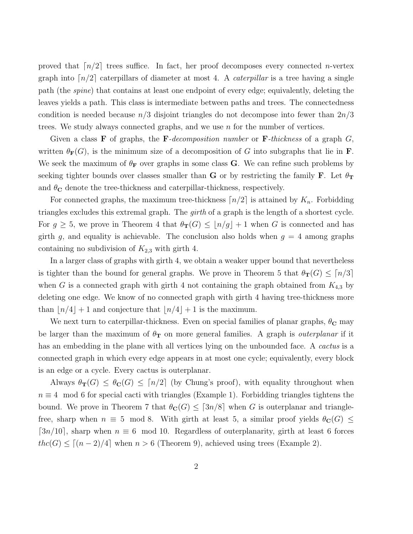proved that  $\lceil n/2 \rceil$  trees suffice. In fact, her proof decomposes every connected *n*-vertex graph into  $\lceil n/2 \rceil$  caterpillars of diameter at most 4. A *caterpillar* is a tree having a single path (the spine) that contains at least one endpoint of every edge; equivalently, deleting the leaves yields a path. This class is intermediate between paths and trees. The connectedness condition is needed because  $n/3$  disjoint triangles do not decompose into fewer than  $2n/3$ trees. We study always connected graphs, and we use  $n$  for the number of vertices.

Given a class **F** of graphs, the **F**-decomposition number or **F**-thickness of a graph  $G$ , written  $\theta_{\mathbf{F}}(G)$ , is the minimum size of a decomposition of G into subgraphs that lie in **F**. We seek the maximum of  $\theta_F$  over graphs in some class G. We can refine such problems by seeking tighter bounds over classes smaller than **G** or by restricting the family **F**. Let  $\theta_T$ and  $\theta_{\rm C}$  denote the tree-thickness and caterpillar-thickness, respectively.

For connected graphs, the maximum tree-thickness  $\lceil n/2 \rceil$  is attained by  $K_n$ . Forbidding triangles excludes this extremal graph. The *girth* of a graph is the length of a shortest cycle. For  $g \geq 5$ , we prove in Theorem 4 that  $\theta_{\mathbf{T}}(G) \leq \lfloor n/g \rfloor + 1$  when G is connected and has girth g, and equality is achievable. The conclusion also holds when  $g = 4$  among graphs containing no subdivision of  $K_{2,3}$  with girth 4.

In a larger class of graphs with girth 4, we obtain a weaker upper bound that nevertheless is tighter than the bound for general graphs. We prove in Theorem 5 that  $\theta_T(G) \leq |n/3|$ when G is a connected graph with girth 4 not containing the graph obtained from  $K_{4,3}$  by deleting one edge. We know of no connected graph with girth 4 having tree-thickness more than  $\lfloor n/4 \rfloor + 1$  and conjecture that  $\lfloor n/4 \rfloor + 1$  is the maximum.

We next turn to caterpillar-thickness. Even on special families of planar graphs,  $\theta_{\rm C}$  may be larger than the maximum of  $\theta_T$  on more general families. A graph is *outerplanar* if it has an embedding in the plane with all vertices lying on the unbounded face. A *cactus* is a connected graph in which every edge appears in at most one cycle; equivalently, every block is an edge or a cycle. Every cactus is outerplanar.

Always  $\theta_{\mathbf{T}}(G) \leq \theta_{\mathbf{C}}(G) \leq [n/2]$  (by Chung's proof), with equality throughout when  $n \equiv 4 \mod 6$  for special cacti with triangles (Example 1). Forbidding triangles tightens the bound. We prove in Theorem 7 that  $\theta_{\mathbb{C}}(G) \leq \lceil 3n/8 \rceil$  when G is outerplanar and trianglefree, sharp when  $n \equiv 5 \mod 8$ . With girth at least 5, a similar proof yields  $\theta_{\mathbf{C}}(G) \leq$  $[3n/10]$ , sharp when  $n \equiv 6 \mod 10$ . Regardless of outerplanarity, girth at least 6 forces  $thc(G) \leq [(n-2)/4]$  when  $n > 6$  (Theorem 9), achieved using trees (Example 2).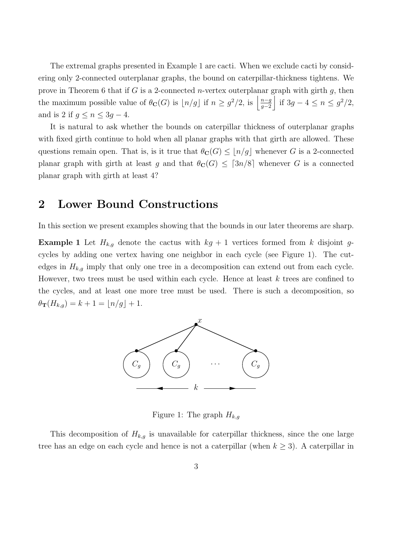The extremal graphs presented in Example 1 are cacti. When we exclude cacti by considering only 2-connected outerplanar graphs, the bound on caterpillar-thickness tightens. We prove in Theorem 6 that if G is a 2-connected *n*-vertex outerplanar graph with girth  $g$ , then the maximum possible value of  $\theta_{\bf C}(G)$  is  $\lfloor n/g \rfloor$  if  $n \geq g^2/2$ , is  $\left\lfloor \frac{n-g}{g-2} \right\rfloor$  $\left| \frac{n-g}{g-2} \right|$  if  $3g - 4 \leq n \leq g^2/2$ , and is 2 if  $g \leq n \leq 3g - 4$ .

It is natural to ask whether the bounds on caterpillar thickness of outerplanar graphs with fixed girth continue to hold when all planar graphs with that girth are allowed. These questions remain open. That is, is it true that  $\theta_{\mathbf{C}}(G) \leq \lfloor n/g \rfloor$  whenever G is a 2-connected planar graph with girth at least g and that  $\theta_{\mathbf{C}}(G) \leq \lceil 3n/8 \rceil$  whenever G is a connected planar graph with girth at least 4?

#### 2 Lower Bound Constructions

In this section we present examples showing that the bounds in our later theorems are sharp.

**Example 1** Let  $H_{k,g}$  denote the cactus with  $kg + 1$  vertices formed from k disjoint gcycles by adding one vertex having one neighbor in each cycle (see Figure 1). The cutedges in  $H_{k,g}$  imply that only one tree in a decomposition can extend out from each cycle. However, two trees must be used within each cycle. Hence at least k trees are confined to the cycles, and at least one more tree must be used. There is such a decomposition, so  $\theta_{\bf T}(H_{k,g}) = k + 1 = \lfloor n/g \rfloor + 1.$ 



Figure 1: The graph  $H_{k,q}$ 

This decomposition of  $H_{k,g}$  is unavailable for caterpillar thickness, since the one large tree has an edge on each cycle and hence is not a caterpillar (when  $k \geq 3$ ). A caterpillar in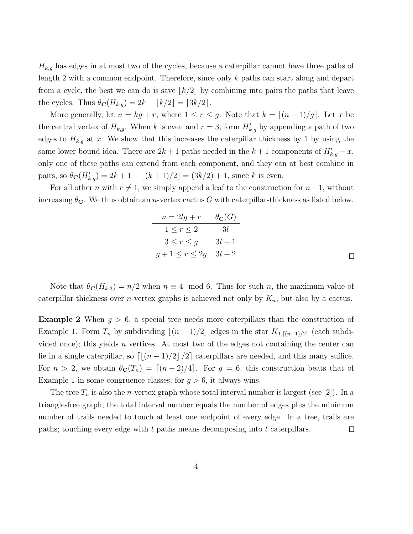$H_{k,g}$  has edges in at most two of the cycles, because a caterpillar cannot have three paths of length 2 with a common endpoint. Therefore, since only k paths can start along and depart from a cycle, the best we can do is save  $\lfloor k/2 \rfloor$  by combining into pairs the paths that leave the cycles. Thus  $\theta_{\mathbf{C}}(H_{k,g}) = 2k - \lfloor k/2 \rfloor = \lceil 3k/2 \rceil$ .

More generally, let  $n = kg + r$ , where  $1 \le r \le g$ . Note that  $k = \lfloor (n-1)/g \rfloor$ . Let x be the central vertex of  $H_{k,g}$ . When k is even and  $r=3$ , form  $H'_{k,g}$  by appending a path of two edges to  $H_{k,g}$  at x. We show that this increases the caterpillar thickness by 1 by using the same lower bound idea. There are  $2k+1$  paths needed in the  $k+1$  components of  $H'_{k,g}-x$ , only one of these paths can extend from each component, and they can at best combine in pairs, so  $\theta_{\mathbf{C}}(H'_{k,g}) = 2k + 1 - \lfloor (k+1)/2 \rfloor = (3k/2) + 1$ , since k is even.

For all other *n* with  $r \neq 1$ , we simply append a leaf to the construction for  $n-1$ , without increasing  $\theta_{\mathbf{C}}$ . We thus obtain an *n*-vertex cactus G with caterpillar-thickness as listed below.

| $n = 2lg + r$ $\theta_{\bf C}(G)$ |            |
|-----------------------------------|------------|
| $1\leq r\leq 2$                   | $\vert$ 3l |
| $3 \leq r \leq g$ $3l+1$          |            |
| $g+1 \leq r \leq 2g \mid 3l+2$    |            |

Note that  $\theta_{\mathbf{C}}(H_{k,3}) = n/2$  when  $n \equiv 4 \mod 6$ . Thus for such n, the maximum value of caterpillar-thickness over *n*-vertex graphs is achieved not only by  $K_n$ , but also by a cactus.

**Example 2** When  $g > 6$ , a special tree needs more caterpillars than the construction of Example 1. Form  $T_n$  by subdividing  $\lfloor (n-1)/2 \rfloor$  edges in the star  $K_{1,\lceil (n-1)/2 \rceil}$  (each subdivided once); this yields  $n$  vertices. At most two of the edges not containing the center can lie in a single caterpillar, so  $\left[\left(\frac{(n-1)}{2}\right)\right]$  caterpillars are needed, and this many suffice. For  $n > 2$ , we obtain  $\theta_{\mathbf{C}}(T_n) = \lfloor (n-2)/4 \rfloor$ . For  $g = 6$ , this construction beats that of Example 1 in some congruence classes; for  $g > 6$ , it always wins.

The tree  $T_n$  is also the *n*-vertex graph whose total interval number is largest (see [2]). In a triangle-free graph, the total interval number equals the number of edges plus the minimum number of trails needed to touch at least one endpoint of every edge. In a tree, trails are paths; touching every edge with  $t$  paths means decomposing into  $t$  caterpillars.  $\Box$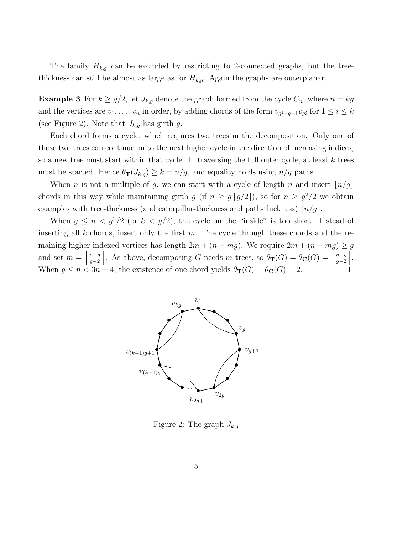The family  $H_{k,g}$  can be excluded by restricting to 2-connected graphs, but the treethickness can still be almost as large as for  $H_{k,g}$ . Again the graphs are outerplanar.

**Example 3** For  $k \geq g/2$ , let  $J_{k,g}$  denote the graph formed from the cycle  $C_n$ , where  $n = kg$ and the vertices are  $v_1, \ldots, v_n$  in order, by adding chords of the form  $v_{gi-g+1}v_{gi}$  for  $1 \le i \le k$ (see Figure 2). Note that  $J_{k,g}$  has girth g.

Each chord forms a cycle, which requires two trees in the decomposition. Only one of those two trees can continue on to the next higher cycle in the direction of increasing indices, so a new tree must start within that cycle. In traversing the full outer cycle, at least  $k$  trees must be started. Hence  $\theta_{\mathbf{T}}(J_{k,g}) \geq k = n/g$ , and equality holds using  $n/g$  paths.

When *n* is not a multiple of *g*, we can start with a cycle of length *n* and insert  $\lfloor n/g \rfloor$ chords in this way while maintaining girth g (if  $n \geq g \lceil g/2 \rceil$ ), so for  $n \geq g^2/2$  we obtain examples with tree-thickness (and caterpillar-thickness and path-thickness)  $\lfloor n/g \rfloor$ .

When  $g \le n < g^2/2$  (or  $k < g/2$ ), the cycle on the "inside" is too short. Instead of inserting all  $k$  chords, insert only the first  $m$ . The cycle through these chords and the remaining higher-indexed vertices has length  $2m + (n - mg)$ . We require  $2m + (n - mg) \ge g$ and set  $m = \frac{n-g}{q-2}$  $\frac{n-g}{g-2}$ . As above, decomposing G needs m trees, so  $\theta_{\bf T}(G) = \theta_{\bf C}(G) = \left| \frac{n-g}{g-2} \right|$  $\frac{n-g}{g-2}$ . When  $g \le n < 3n-4$ , the existence of one chord yields  $\theta_{\mathbf{T}}(G) = \theta_{\mathbf{C}}(G) = 2$ .



Figure 2: The graph  $J_{k,q}$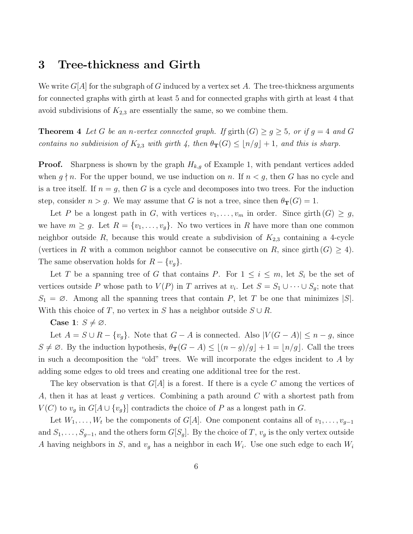## 3 Tree-thickness and Girth

We write  $G[A]$  for the subgraph of G induced by a vertex set A. The tree-thickness arguments for connected graphs with girth at least 5 and for connected graphs with girth at least 4 that avoid subdivisions of  $K_{2,3}$  are essentially the same, so we combine them.

**Theorem 4** Let G be an n-vertex connected graph. If girth  $(G) \ge g \ge 5$ , or if  $g = 4$  and G contains no subdivision of  $K_{2,3}$  with girth 4, then  $\theta_{\mathbf{T}}(G) \leq \lfloor n/g \rfloor + 1$ , and this is sharp.

**Proof.** Sharpness is shown by the graph  $H_{k,g}$  of Example 1, with pendant vertices added when  $g \nmid n$ . For the upper bound, we use induction on n. If  $n < g$ , then G has no cycle and is a tree itself. If  $n = g$ , then G is a cycle and decomposes into two trees. For the induction step, consider  $n > g$ . We may assume that G is not a tree, since then  $\theta_{\mathbf{T}}(G) = 1$ .

Let P be a longest path in G, with vertices  $v_1, \ldots, v_m$  in order. Since girth  $(G) \geq g$ , we have  $m \geq g$ . Let  $R = \{v_1, \ldots, v_g\}$ . No two vertices in R have more than one common neighbor outside R, because this would create a subdivision of  $K_{2,3}$  containing a 4-cycle (vertices in R with a common neighbor cannot be consecutive on R, since girth  $(G) \geq 4$ ). The same observation holds for  $R - \{v_g\}.$ 

Let T be a spanning tree of G that contains P. For  $1 \leq i \leq m$ , let  $S_i$  be the set of vertices outside P whose path to  $V(P)$  in T arrives at  $v_i$ . Let  $S = S_1 \cup \cdots \cup S_g$ ; note that  $S_1 = \emptyset$ . Among all the spanning trees that contain P, let T be one that minimizes  $|S|$ . With this choice of T, no vertex in S has a neighbor outside  $S \cup R$ .

Case 1:  $S \neq \emptyset$ .

Let  $A = S \cup R - \{v_g\}$ . Note that  $G - A$  is connected. Also  $|V(G - A)| \leq n - g$ , since  $S \neq \emptyset$ . By the induction hypothesis,  $\theta_{\mathbf{T}}(G - A) \leq \lfloor (n - g)/g \rfloor + 1 = \lfloor n/g \rfloor$ . Call the trees in such a decomposition the "old" trees. We will incorporate the edges incident to A by adding some edges to old trees and creating one additional tree for the rest.

The key observation is that  $G[A]$  is a forest. If there is a cycle C among the vertices of A, then it has at least g vertices. Combining a path around C with a shortest path from  $V(C)$  to  $v_q$  in  $G[A \cup \{v_q\}]$  contradicts the choice of P as a longest path in G.

Let  $W_1, \ldots, W_t$  be the components of  $G[A]$ . One component contains all of  $v_1, \ldots, v_{g-1}$ and  $S_1, \ldots, S_{g-1}$ , and the others form  $G[S_g]$ . By the choice of T,  $v_g$  is the only vertex outside A having neighbors in S, and  $v_g$  has a neighbor in each  $W_i$ . Use one such edge to each  $W_i$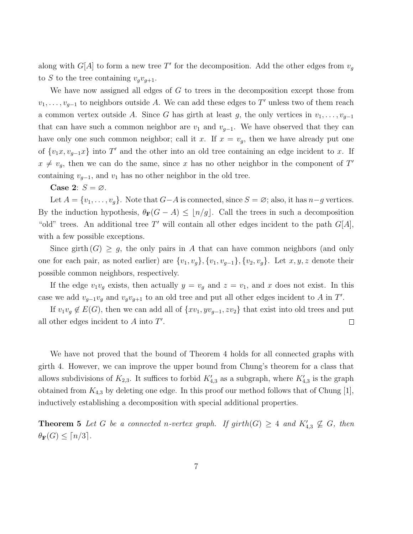along with  $G[A]$  to form a new tree T' for the decomposition. Add the other edges from  $v_g$ to S to the tree containing  $v_qv_{q+1}$ .

We have now assigned all edges of  $G$  to trees in the decomposition except those from  $v_1, \ldots, v_{g-1}$  to neighbors outside A. We can add these edges to T' unless two of them reach a common vertex outside A. Since G has girth at least g, the only vertices in  $v_1, \ldots, v_{g-1}$ that can have such a common neighbor are  $v_1$  and  $v_{g-1}$ . We have observed that they can have only one such common neighbor; call it x. If  $x = v_g$ , then we have already put one of  $\{v_1x, v_{g-1}x\}$  into T' and the other into an old tree containing an edge incident to x. If  $x \neq v_g$ , then we can do the same, since x has no other neighbor in the component of T' containing  $v_{g-1}$ , and  $v_1$  has no other neighbor in the old tree.

Case 2:  $S = \emptyset$ .

Let  $A = \{v_1, \ldots, v_g\}$ . Note that  $G-A$  is connected, since  $S = \emptyset$ ; also, it has  $n-g$  vertices. By the induction hypothesis,  $\theta_F(G - A) \leq \lfloor n/g \rfloor$ . Call the trees in such a decomposition "old" trees. An additional tree  $T'$  will contain all other edges incident to the path  $G[A]$ , with a few possible exceptions.

Since girth  $(G) \geq g$ , the only pairs in A that can have common neighbors (and only one for each pair, as noted earlier) are  $\{v_1, v_g\}$ ,  $\{v_1, v_{g-1}\}$ ,  $\{v_2, v_g\}$ . Let  $x, y, z$  denote their possible common neighbors, respectively.

If the edge  $v_1v_g$  exists, then actually  $y = v_g$  and  $z = v_1$ , and x does not exist. In this case we add  $v_{g-1}v_g$  and  $v_gv_{g+1}$  to an old tree and put all other edges incident to A in T'.

If  $v_1v_g \notin E(G)$ , then we can add all of  $\{xv_1, yv_{g-1}, zv_2\}$  that exist into old trees and put all other edges incident to  $A$  into  $T'$ .  $\Box$ 

We have not proved that the bound of Theorem 4 holds for all connected graphs with girth 4. However, we can improve the upper bound from Chung's theorem for a class that allows subdivisions of  $K_{2,3}$ . It suffices to forbid  $K'_{4,3}$  as a subgraph, where  $K'_{4,3}$  is the graph obtained from  $K_{4,3}$  by deleting one edge. In this proof our method follows that of Chung [1], inductively establishing a decomposition with special additional properties.

**Theorem 5** Let G be a connected n-vertex graph. If  $girth(G) \geq 4$  and  $K'_{4,3} \nsubseteq G$ , then  $\theta_{\mathbf{F}}(G) \leq \lceil n/3 \rceil$ .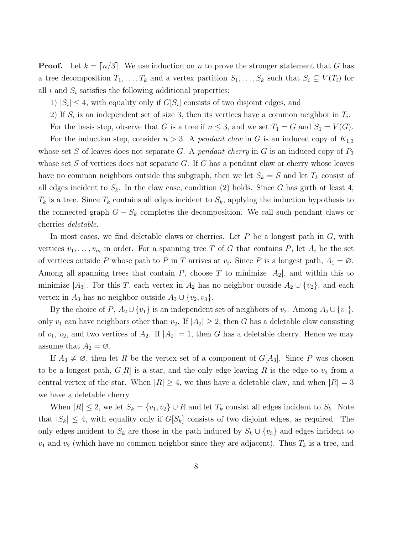**Proof.** Let  $k = \lfloor n/3 \rfloor$ . We use induction on n to prove the stronger statement that G has a tree decomposition  $T_1, \ldots, T_k$  and a vertex partition  $S_1, \ldots, S_k$  such that  $S_i \subseteq V(T_i)$  for all i and  $S_i$  satisfies the following additional properties:

- 1)  $|S_i| \leq 4$ , with equality only if  $G[S_i]$  consists of two disjoint edges, and
- 2) If  $S_i$  is an independent set of size 3, then its vertices have a common neighbor in  $T_i$ .
- For the basis step, observe that G is a tree if  $n \leq 3$ , and we set  $T_1 = G$  and  $S_1 = V(G)$ .

For the induction step, consider  $n > 3$ . A pendant claw in G is an induced copy of  $K_{1,3}$ whose set S of leaves does not separate G. A pendant cherry in G is an induced copy of  $P_3$ whose set  $S$  of vertices does not separate  $G$ . If  $G$  has a pendant claw or cherry whose leaves have no common neighbors outside this subgraph, then we let  $S_k = S$  and let  $T_k$  consist of all edges incident to  $S_k$ . In the claw case, condition (2) holds. Since G has girth at least 4,  $T_k$  is a tree. Since  $T_k$  contains all edges incident to  $S_k$ , applying the induction hypothesis to the connected graph  $G - S_k$  completes the decomposition. We call such pendant claws or cherries deletable.

In most cases, we find deletable claws or cherries. Let  $P$  be a longest path in  $G$ , with vertices  $v_1, \ldots, v_m$  in order. For a spanning tree T of G that contains P, let  $A_i$  be the set of vertices outside P whose path to P in T arrives at  $v_i$ . Since P is a longest path,  $A_1 = \emptyset$ . Among all spanning trees that contain P, choose T to minimize  $|A_2|$ , and within this to minimize  $|A_3|$ . For this T, each vertex in  $A_2$  has no neighbor outside  $A_2 \cup \{v_2\}$ , and each vertex in  $A_3$  has no neighbor outside  $A_3 \cup \{v_2, v_3\}.$ 

By the choice of P,  $A_2 \cup \{v_1\}$  is an independent set of neighbors of  $v_2$ . Among  $A_2 \cup \{v_1\}$ , only  $v_1$  can have neighbors other than  $v_2$ . If  $|A_2| \geq 2$ , then G has a deletable claw consisting of  $v_1, v_2$ , and two vertices of  $A_2$ . If  $|A_2| = 1$ , then G has a deletable cherry. Hence we may assume that  $A_2 = \emptyset$ .

If  $A_3 \neq \emptyset$ , then let R be the vertex set of a component of  $G[A_3]$ . Since P was chosen to be a longest path,  $G[R]$  is a star, and the only edge leaving R is the edge to  $v_3$  from a central vertex of the star. When  $|R| \geq 4$ , we thus have a deletable claw, and when  $|R| = 3$ we have a deletable cherry.

When  $|R| \leq 2$ , we let  $S_k = \{v_1, v_2\} \cup R$  and let  $T_k$  consist all edges incident to  $S_k$ . Note that  $|S_k| \leq 4$ , with equality only if  $G[S_k]$  consists of two disjoint edges, as required. The only edges incident to  $S_k$  are those in the path induced by  $S_k \cup \{v_3\}$  and edges incident to  $v_1$  and  $v_2$  (which have no common neighbor since they are adjacent). Thus  $T_k$  is a tree, and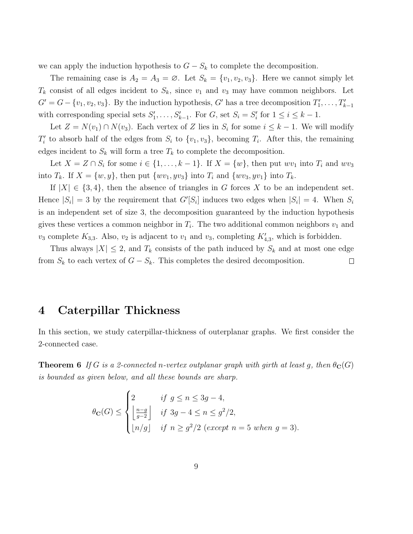we can apply the induction hypothesis to  $G - S_k$  to complete the decomposition.

The remaining case is  $A_2 = A_3 = \emptyset$ . Let  $S_k = \{v_1, v_2, v_3\}$ . Here we cannot simply let  $T_k$  consist of all edges incident to  $S_k$ , since  $v_1$  and  $v_3$  may have common neighbors. Let  $G' = G - \{v_1, v_2, v_3\}$ . By the induction hypothesis, G' has a tree decomposition  $T'_1, \ldots, T'_{k-1}$ with corresponding special sets  $S'_1, \ldots, S'_{k-1}$ . For  $G$ , set  $S_i = S'_i$  for  $1 \le i \le k-1$ .

Let  $Z = N(v_1) \cap N(v_3)$ . Each vertex of Z lies in  $S_i$  for some  $i \leq k - 1$ . We will modify  $T_i'$  to absorb half of the edges from  $S_i$  to  $\{v_1, v_3\}$ , becoming  $T_i$ . After this, the remaining edges incident to  $S_k$  will form a tree  $T_k$  to complete the decomposition.

Let  $X = Z \cap S_i$  for some  $i \in \{1, ..., k-1\}$ . If  $X = \{w\}$ , then put  $wv_1$  into  $T_i$  and  $wv_3$ into  $T_k$ . If  $X = \{w, y\}$ , then put  $\{wv_1, yv_3\}$  into  $T_i$  and  $\{wv_3, yv_1\}$  into  $T_k$ .

If  $|X| \in \{3, 4\}$ , then the absence of triangles in G forces X to be an independent set. Hence  $|S_i| = 3$  by the requirement that  $G'[S_i]$  induces two edges when  $|S_i| = 4$ . When  $S_i$ is an independent set of size 3, the decomposition guaranteed by the induction hypothesis gives these vertices a common neighbor in  $T_i$ . The two additional common neighbors  $v_1$  and  $v_3$  complete  $K_{3,3}$ . Also,  $v_2$  is adjacent to  $v_1$  and  $v_3$ , completing  $K'_{4,3}$ , which is forbidden.

Thus always  $|X| \leq 2$ , and  $T_k$  consists of the path induced by  $S_k$  and at most one edge from  $S_k$  to each vertex of  $G - S_k$ . This completes the desired decomposition.  $\Box$ 

#### 4 Caterpillar Thickness

In this section, we study caterpillar-thickness of outerplanar graphs. We first consider the 2-connected case.

**Theorem 6** If G is a 2-connected n-vertex outplanar graph with girth at least g, then  $\theta_{\mathbf{C}}(G)$ is bounded as given below, and all these bounds are sharp.

$$
\theta_{\mathbf{C}}(G) \le \begin{cases} 2 & \text{if } g \le n \le 3g - 4, \\ \left\lfloor \frac{n - g}{g - 2} \right\rfloor & \text{if } 3g - 4 \le n \le g^2/2, \\ \lfloor n/g \rfloor & \text{if } n \ge g^2/2 \text{ (except } n = 5 \text{ when } g = 3). \end{cases}
$$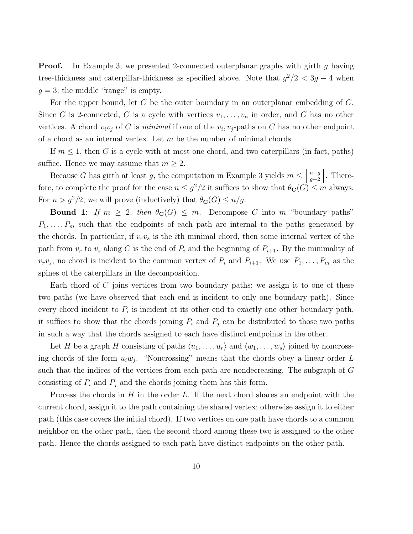**Proof.** In Example 3, we presented 2-connected outerplanar graphs with girth g having tree-thickness and caterpillar-thickness as specified above. Note that  $g^2/2 < 3g - 4$  when  $g = 3$ ; the middle "range" is empty.

For the upper bound, let  $C$  be the outer boundary in an outerplanar embedding of  $G$ . Since G is 2-connected, C is a cycle with vertices  $v_1, \ldots, v_n$  in order, and G has no other vertices. A chord  $v_i v_j$  of C is minimal if one of the  $v_i, v_j$ -paths on C has no other endpoint of a chord as an internal vertex. Let  $m$  be the number of minimal chords.

If  $m \leq 1$ , then G is a cycle with at most one chord, and two caterpillars (in fact, paths) suffice. Hence we may assume that  $m \geq 2$ .

Because G has girth at least g, the computation in Example 3 yields  $m \leq \frac{n-g}{a-2}$  $\frac{n-g}{g-2}$ . Therefore, to complete the proof for the case  $n \leq g^2/2$  it suffices to show that  $\theta_{\mathbf{C}}(G) \leq m$  always. For  $n > g^2/2$ , we will prove (inductively) that  $\theta_{\mathbf{C}}(G) \leq n/g$ .

**Bound 1:** If  $m \geq 2$ , then  $\theta_{\mathbb{C}}(G) \leq m$ . Decompose C into m "boundary paths"  $P_1, \ldots, P_m$  such that the endpoints of each path are internal to the paths generated by the chords. In particular, if  $v_r v_s$  is the *i*th minimal chord, then some internal vertex of the path from  $v_r$  to  $v_s$  along C is the end of  $P_i$  and the beginning of  $P_{i+1}$ . By the minimality of  $v_rv_s$ , no chord is incident to the common vertex of  $P_i$  and  $P_{i+1}$ . We use  $P_1, \ldots, P_m$  as the spines of the caterpillars in the decomposition.

Each chord of  $C$  joins vertices from two boundary paths; we assign it to one of these two paths (we have observed that each end is incident to only one boundary path). Since every chord incident to  $P_i$  is incident at its other end to exactly one other boundary path, it suffices to show that the chords joining  $P_i$  and  $P_j$  can be distributed to those two paths in such a way that the chords assigned to each have distinct endpoints in the other.

Let H be a graph H consisting of paths  $\langle u_1, \ldots, u_r \rangle$  and  $\langle w_1, \ldots, w_s \rangle$  joined by noncrossing chords of the form  $u_iw_j$ . "Noncrossing" means that the chords obey a linear order L such that the indices of the vertices from each path are nondecreasing. The subgraph of G consisting of  $P_i$  and  $P_j$  and the chords joining them has this form.

Process the chords in  $H$  in the order  $L$ . If the next chord shares an endpoint with the current chord, assign it to the path containing the shared vertex; otherwise assign it to either path (this case covers the initial chord). If two vertices on one path have chords to a common neighbor on the other path, then the second chord among these two is assigned to the other path. Hence the chords assigned to each path have distinct endpoints on the other path.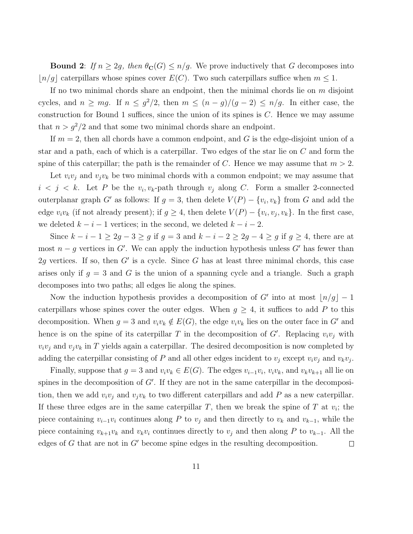**Bound 2:** If  $n \geq 2g$ , then  $\theta_{\mathbf{C}}(G) \leq n/g$ . We prove inductively that G decomposes into  $\lfloor n/g \rfloor$  caterpillars whose spines cover  $E(C)$ . Two such caterpillars suffice when  $m \leq 1$ .

If no two minimal chords share an endpoint, then the minimal chords lie on  $m$  disjoint cycles, and  $n \geq mg$ . If  $n \leq g^2/2$ , then  $m \leq (n-g)/(g-2) \leq n/g$ . In either case, the construction for Bound 1 suffices, since the union of its spines is  $C$ . Hence we may assume that  $n > g^2/2$  and that some two minimal chords share an endpoint.

If  $m = 2$ , then all chords have a common endpoint, and G is the edge-disjoint union of a star and a path, each of which is a caterpillar. Two edges of the star lie on C and form the spine of this caterpillar; the path is the remainder of C. Hence we may assume that  $m > 2$ .

Let  $v_i v_j$  and  $v_j v_k$  be two minimal chords with a common endpoint; we may assume that  $i < j < k$ . Let P be the  $v_i, v_k$ -path through  $v_j$  along C. Form a smaller 2-connected outerplanar graph G' as follows: If  $g = 3$ , then delete  $V(P) - \{v_i, v_k\}$  from G and add the edge  $v_i v_k$  (if not already present); if  $g \geq 4$ , then delete  $V(P) - \{v_i, v_j, v_k\}$ . In the first case, we deleted  $k - i - 1$  vertices; in the second, we deleted  $k - i - 2$ .

Since  $k - i - 1 \ge 2g - 3 \ge g$  if  $g = 3$  and  $k - i - 2 \ge 2g - 4 \ge g$  if  $g \ge 4$ , there are at most  $n - g$  vertices in G'. We can apply the induction hypothesis unless G' has fewer than 2g vertices. If so, then  $G'$  is a cycle. Since G has at least three minimal chords, this case arises only if  $g = 3$  and G is the union of a spanning cycle and a triangle. Such a graph decomposes into two paths; all edges lie along the spines.

Now the induction hypothesis provides a decomposition of G' into at most  $\lfloor n/g \rfloor - 1$ caterpillars whose spines cover the outer edges. When  $g \geq 4$ , it suffices to add P to this decomposition. When  $g = 3$  and  $v_i v_k \notin E(G)$ , the edge  $v_i v_k$  lies on the outer face in G' and hence is on the spine of its caterpillar T in the decomposition of  $G'$ . Replacing  $v_i v_j$  with  $v_i v_j$  and  $v_j v_k$  in T yields again a caterpillar. The desired decomposition is now completed by adding the caterpillar consisting of P and all other edges incident to  $v_j$  except  $v_i v_j$  and  $v_k v_j$ .

Finally, suppose that  $g = 3$  and  $v_i v_k \in E(G)$ . The edges  $v_{i-1} v_i$ ,  $v_i v_k$ , and  $v_k v_{k+1}$  all lie on spines in the decomposition of  $G'$ . If they are not in the same caterpillar in the decomposition, then we add  $v_i v_j$  and  $v_j v_k$  to two different caterpillars and add P as a new caterpillar. If these three edges are in the same caterpillar  $T$ , then we break the spine of  $T$  at  $v_i$ ; the piece containing  $v_{i-1}v_i$  continues along P to  $v_j$  and then directly to  $v_k$  and  $v_{k-1}$ , while the piece containing  $v_{k+1}v_k$  and  $v_kv_i$  continues directly to  $v_j$  and then along P to  $v_{k-1}$ . All the edges of  $G$  that are not in  $G'$  become spine edges in the resulting decomposition.  $\Box$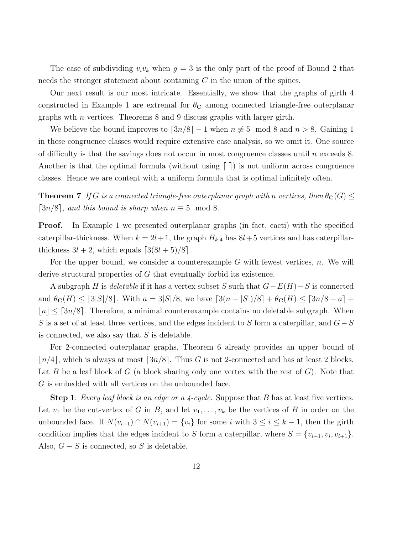The case of subdividing  $v_i v_k$  when  $g = 3$  is the only part of the proof of Bound 2 that needs the stronger statement about containing C in the union of the spines.

Our next result is our most intricate. Essentially, we show that the graphs of girth 4 constructed in Example 1 are extremal for  $\theta_{\rm C}$  among connected triangle-free outerplanar graphs wth *n* vertices. Theorems 8 and 9 discuss graphs with larger girth.

We believe the bound improves to  $\lceil 3n/8 \rceil - 1$  when  $n \neq 5 \mod 8$  and  $n > 8$ . Gaining 1 in these congruence classes would require extensive case analysis, so we omit it. One source of difficulty is that the savings does not occur in most congruence classes until  $n$  exceeds 8. Another is that the optimal formula (without using  $\lceil \cdot \rceil$ ) is not uniform across congruence classes. Hence we are content with a uniform formula that is optimal infinitely often.

**Theorem 7** If G is a connected triangle-free outerplanar graph with n vertices, then  $\theta_{\mathbf{C}}(G) \leq$  $\lceil 3n/8 \rceil$ , and this bound is sharp when  $n \equiv 5 \mod 8$ .

**Proof.** In Example 1 we presented outerplanar graphs (in fact, cacti) with the specified caterpillar-thickness. When  $k = 2l+1$ , the graph  $H_{k,4}$  has  $8l+5$  vertices and has caterpillarthickness  $3l + 2$ , which equals  $\lceil 3(8l + 5)/8 \rceil$ .

For the upper bound, we consider a counterexample  $G$  with fewest vertices,  $n$ . We will derive structural properties of G that eventually forbid its existence.

A subgraph H is deletable if it has a vertex subset S such that  $G-E(H)-S$  is connected and  $\theta_{\bf C}(H) \leq \lfloor 3|S|/8$ . With  $a = 3|S|/8$ , we have  $\lceil 3(n-|S|)/8 \rceil + \theta_{\bf C}(H) \leq \lceil 3n/8 - a \rceil +$  $[a] \leq [3n/8]$ . Therefore, a minimal counterexample contains no deletable subgraph. When S is a set of at least three vertices, and the edges incident to S form a caterpillar, and  $G-S$ is connected, we also say that  $S$  is deletable.

For 2-connected outerplanar graphs, Theorem 6 already provides an upper bound of  $n/4$ , which is always at most  $\lceil 3n/8 \rceil$ . Thus G is not 2-connected and has at least 2 blocks. Let B be a leaf block of G (a block sharing only one vertex with the rest of G). Note that G is embedded with all vertices on the unbounded face.

**Step 1**: Every leaf block is an edge or a 4-cycle. Suppose that B has at least five vertices. Let  $v_1$  be the cut-vertex of G in B, and let  $v_1, \ldots, v_k$  be the vertices of B in order on the unbounded face. If  $N(v_{i-1}) \cap N(v_{i+1}) = \{v_i\}$  for some i with  $3 \le i \le k-1$ , then the girth condition implies that the edges incident to S form a caterpillar, where  $S = \{v_{i-1}, v_i, v_{i+1}\}.$ Also,  $G-S$  is connected, so S is deletable.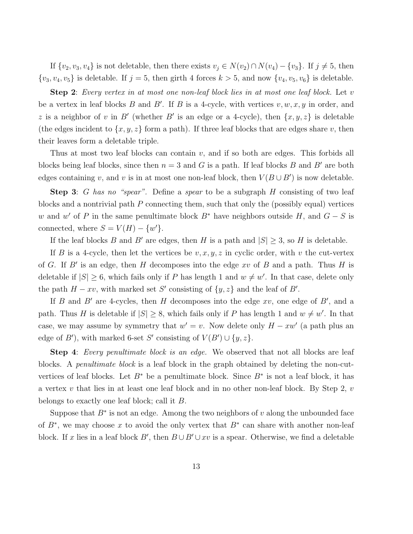If  $\{v_2, v_3, v_4\}$  is not deletable, then there exists  $v_j \in N(v_2) \cap N(v_4) - \{v_3\}$ . If  $j \neq 5$ , then  $\{v_3, v_4, v_5\}$  is deletable. If  $j = 5$ , then girth 4 forces  $k > 5$ , and now  $\{v_4, v_5, v_6\}$  is deletable.

Step 2: Every vertex in at most one non-leaf block lies in at most one leaf block. Let v be a vertex in leaf blocks B and B'. If B is a 4-cycle, with vertices  $v, w, x, y$  in order, and z is a neighbor of v in B' (whether B' is an edge or a 4-cycle), then  $\{x, y, z\}$  is deletable (the edges incident to  $\{x, y, z\}$  form a path). If three leaf blocks that are edges share v, then their leaves form a deletable triple.

Thus at most two leaf blocks can contain v, and if so both are edges. This forbids all blocks being leaf blocks, since then  $n = 3$  and G is a path. If leaf blocks B and B' are both edges containing v, and v is in at most one non-leaf block, then  $V(B\cup B')$  is now deletable.

**Step 3**: G has no "spear". Define a spear to be a subgraph H consisting of two leaf blocks and a nontrivial path  $P$  connecting them, such that only the (possibly equal) vertices w and w' of P in the same penultimate block  $B^*$  have neighbors outside H, and  $G - S$  is connected, where  $S = V(H) - \{w'\}.$ 

If the leaf blocks B and B' are edges, then H is a path and  $|S| \geq 3$ , so H is deletable.

If B is a 4-cycle, then let the vertices be  $v, x, y, z$  in cyclic order, with v the cut-vertex of G. If  $B'$  is an edge, then H decomposes into the edge xv of B and a path. Thus H is deletable if  $|S| \geq 6$ , which fails only if P has length 1 and  $w \neq w'$ . In that case, delete only the path  $H - xv$ , with marked set S' consisting of  $\{y, z\}$  and the leaf of B'.

If  $B$  and  $B'$  are 4-cycles, then  $H$  decomposes into the edge  $xv$ , one edge of  $B'$ , and a path. Thus H is deletable if  $|S| \geq 8$ , which fails only if P has length 1 and  $w \neq w'$ . In that case, we may assume by symmetry that  $w' = v$ . Now delete only  $H - xw'$  (a path plus an edge of B'), with marked 6-set S' consisting of  $V(B') \cup \{y, z\}$ .

Step 4: Every penultimate block is an edge. We observed that not all blocks are leaf blocks. A penultimate block is a leaf block in the graph obtained by deleting the non-cutvertices of leaf blocks. Let  $B^*$  be a penultimate block. Since  $B^*$  is not a leaf block, it has a vertex  $v$  that lies in at least one leaf block and in no other non-leaf block. By Step 2,  $v$ belongs to exactly one leaf block; call it B.

Suppose that  $B^*$  is not an edge. Among the two neighbors of v along the unbounded face of  $B^*$ , we may choose x to avoid the only vertex that  $B^*$  can share with another non-leaf block. If x lies in a leaf block B', then  $B \cup B' \cup xv$  is a spear. Otherwise, we find a deletable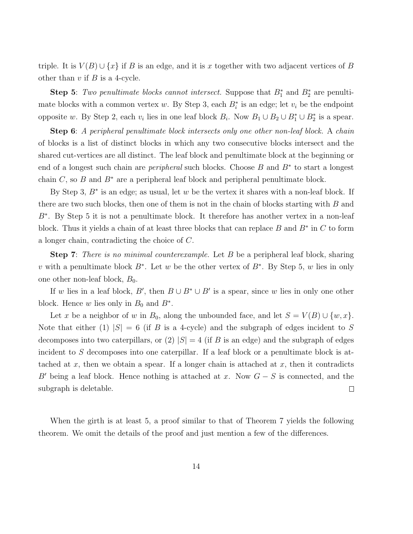triple. It is  $V(B) \cup \{x\}$  if B is an edge, and it is x together with two adjacent vertices of B other than  $v$  if  $B$  is a 4-cycle.

**Step 5**: Two penultimate blocks cannot intersect. Suppose that  $B_1^*$  and  $B_2^*$  are penultimate blocks with a common vertex w. By Step 3, each  $B_i^*$  is an edge; let  $v_i$  be the endpoint opposite w. By Step 2, each  $v_i$  lies in one leaf block  $B_i$ . Now  $B_1 \cup B_2 \cup B_1^* \cup B_2^*$  is a spear.

Step 6: A peripheral penultimate block intersects only one other non-leaf block. A chain of blocks is a list of distinct blocks in which any two consecutive blocks intersect and the shared cut-vertices are all distinct. The leaf block and penultimate block at the beginning or end of a longest such chain are *peripheral* such blocks. Choose  $B$  and  $B^*$  to start a longest chain C, so B and  $B^*$  are a peripheral leaf block and peripheral penultimate block.

By Step 3,  $B^*$  is an edge; as usual, let w be the vertex it shares with a non-leaf block. If there are two such blocks, then one of them is not in the chain of blocks starting with  $B$  and B<sup>∗</sup> . By Step 5 it is not a penultimate block. It therefore has another vertex in a non-leaf block. Thus it yields a chain of at least three blocks that can replace  $B$  and  $B^*$  in  $C$  to form a longer chain, contradicting the choice of C.

Step 7: There is no minimal counterexample. Let B be a peripheral leaf block, sharing v with a penultimate block  $B^*$ . Let w be the other vertex of  $B^*$ . By Step 5, w lies in only one other non-leaf block,  $B_0$ .

If w lies in a leaf block, B', then  $B \cup B^* \cup B'$  is a spear, since w lies in only one other block. Hence w lies only in  $B_0$  and  $B^*$ .

Let x be a neighbor of w in  $B_0$ , along the unbounded face, and let  $S = V(B) \cup \{w, x\}$ . Note that either (1)  $|S| = 6$  (if B is a 4-cycle) and the subgraph of edges incident to S decomposes into two caterpillars, or (2)  $|S| = 4$  (if B is an edge) and the subgraph of edges incident to S decomposes into one caterpillar. If a leaf block or a penultimate block is attached at x, then we obtain a spear. If a longer chain is attached at x, then it contradicts B' being a leaf block. Hence nothing is attached at x. Now  $G - S$  is connected, and the subgraph is deletable.  $\Box$ 

When the girth is at least 5, a proof similar to that of Theorem 7 yields the following theorem. We omit the details of the proof and just mention a few of the differences.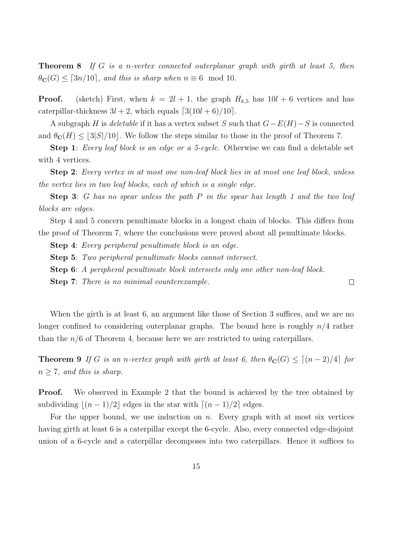**Theorem 8** If G is a n-vertex connected outerplanar graph with girth at least 5, then  $\theta_{\bf C}(G) \leq [3n/10]$ , and this is sharp when  $n \equiv 6 \mod 10$ .

**Proof.** (sketch) First, when  $k = 2l + 1$ , the graph  $H_{k,5}$  has  $10l + 6$  vertices and has caterpillar-thickness  $3l + 2$ , which equals  $\lceil 3(10l + 6)/10 \rceil$ .

A subgraph H is deletable if it has a vertex subset S such that  $G-E(H)-S$  is connected and  $\theta_{\mathbb{C}}(H) \leq |3|S|/10$ . We follow the steps similar to those in the proof of Theorem 7.

Step 1: Every leaf block is an edge or a 5-cycle. Otherwise we can find a deletable set with 4 vertices.

Step 2: Every vertex in at most one non-leaf block lies in at most one leaf block, unless the vertex lies in two leaf blocks, each of which is a single edge.

Step 3: G has no spear unless the path P in the spear has length 1 and the two leaf blocks are edges.

Step 4 and 5 concern penultimate blocks in a longest chain of blocks. This differs from the proof of Theorem 7, where the conclusions were proved about all penultimate blocks.

Step 4: Every peripheral penultimate block is an edge.

- Step 5: Two peripheral penultimate blocks cannot intersect.
- Step 6: A peripheral penultimate block intersects only one other non-leaf block.
- Step 7: There is no minimal counterexample.

When the girth is at least 6, an argument like those of Section 3 suffices, and we are no longer confined to considering outerplanar graphs. The bound here is roughly  $n/4$  rather than the  $n/6$  of Theorem 4, because here we are restricted to using caterpillars.

 $\Box$ 

**Theorem 9** If G is an n-vertex graph with girth at least 6, then  $\theta_{\mathbf{C}}(G) \leq [(n-2)/4]$  for  $n \geq 7$ , and this is sharp.

**Proof.** We observed in Example 2 that the bound is achieved by the tree obtained by subdividing  $|(n-1)/2|$  edges in the star with  $\lceil (n-1)/2 \rceil$  edges.

For the upper bound, we use induction on  $n$ . Every graph with at most six vertices having girth at least 6 is a caterpillar except the 6-cycle. Also, every connected edge-disjoint union of a 6-cycle and a caterpillar decomposes into two caterpillars. Hence it suffices to